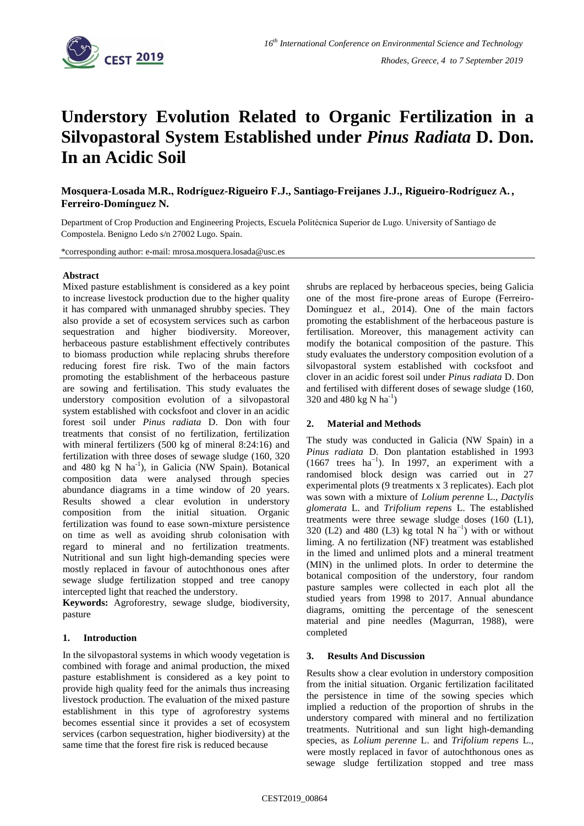

# **Understory Evolution Related to Organic Fertilization in a Silvopastoral System Established under** *Pinus Radiata* **D. Don. In an Acidic Soil**

**Mosquera-Losada M.R., Rodríguez-Rigueiro F.J., Santiago-Freijanes J.J., Rigueiro-Rodríguez A. , Ferreiro-Domínguez N.**

Department of Crop Production and Engineering Projects, Escuela Politécnica Superior de Lugo. University of Santiago de Compostela. Benigno Ledo s/n 27002 Lugo. Spain.

\*corresponding author: e-mail: mrosa.mosquera.losada@usc.es

#### **Abstract**

Mixed pasture establishment is considered as a key point to increase livestock production due to the higher quality it has compared with unmanaged shrubby species. They also provide a set of ecosystem services such as carbon sequestration and higher biodiversity. Moreover, herbaceous pasture establishment effectively contributes to biomass production while replacing shrubs therefore reducing forest fire risk. Two of the main factors promoting the establishment of the herbaceous pasture are sowing and fertilisation. This study evaluates the understory composition evolution of a silvopastoral system established with cocksfoot and clover in an acidic forest soil under *Pinus radiata* D. Don with four treatments that consist of no fertilization, fertilization with mineral fertilizers (500 kg of mineral 8:24:16) and fertilization with three doses of sewage sludge (160, 320 and 480 kg N ha<sup>-1</sup>), in Galicia (NW Spain). Botanical composition data were analysed through species abundance diagrams in a time window of 20 years. Results showed a clear evolution in understory composition from the initial situation. Organic fertilization was found to ease sown-mixture persistence on time as well as avoiding shrub colonisation with regard to mineral and no fertilization treatments. Nutritional and sun light high-demanding species were mostly replaced in favour of autochthonous ones after sewage sludge fertilization stopped and tree canopy intercepted light that reached the understory.

**Keywords:** Agroforestry, sewage sludge, biodiversity, pasture

## **1. Introduction**

In the silvopastoral systems in which woody vegetation is combined with forage and animal production, the mixed pasture establishment is considered as a key point to provide high quality feed for the animals thus increasing livestock production. The evaluation of the mixed pasture establishment in this type of agroforestry systems becomes essential since it provides a set of ecosystem services (carbon sequestration, higher biodiversity) at the same time that the forest fire risk is reduced because

shrubs are replaced by herbaceous species, being Galicia one of the most fire-prone areas of Europe (Ferreiro-Domínguez et al., 2014). One of the main factors promoting the establishment of the herbaceous pasture is fertilisation. Moreover, this management activity can modify the botanical composition of the pasture. This study evaluates the understory composition evolution of a silvopastoral system established with cocksfoot and clover in an acidic forest soil under *Pinus radiata* D. Don and fertilised with different doses of sewage sludge (160, 320 and 480 kg N  $\text{ha}^{-1}$ )

## **2. Material and Methods**

The study was conducted in Galicia (NW Spain) in a *Pinus radiata* D. Don plantation established in 1993 (1667 trees  $ha^{-1}$ ). In 1997, an experiment with a randomised block design was carried out in 27 experimental plots (9 treatments x 3 replicates). Each plot was sown with a mixture of *Lolium perenne* L., *Dactylis glomerata* L. and *Trifolium repens* L. The established treatments were three sewage sludge doses (160 (L1), 320 (L2) and 480 (L3) kg total N ha<sup>-1</sup>) with or without liming. A no fertilization (NF) treatment was established in the limed and unlimed plots and a mineral treatment (MIN) in the unlimed plots. In order to determine the botanical composition of the understory, four random pasture samples were collected in each plot all the studied years from 1998 to 2017. Annual abundance diagrams, omitting the percentage of the senescent material and pine needles (Magurran, 1988), were completed

## **3. Results And Discussion**

Results show a clear evolution in understory composition from the initial situation. Organic fertilization facilitated the persistence in time of the sowing species which implied a reduction of the proportion of shrubs in the understory compared with mineral and no fertilization treatments. Nutritional and sun light high-demanding species, as *Lolium perenne* L. and *Trifolium repens* L., were mostly replaced in favor of autochthonous ones as sewage sludge fertilization stopped and tree mass